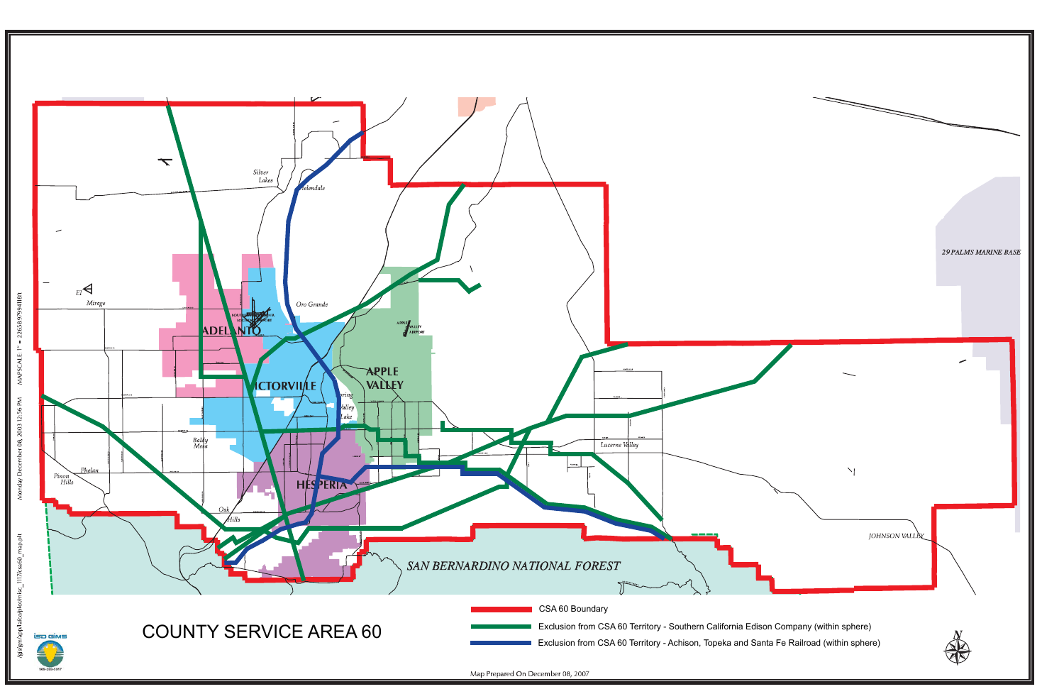

MAPSCALE: 1" = 22658.97994118ft 08, 2003 12:56 PM